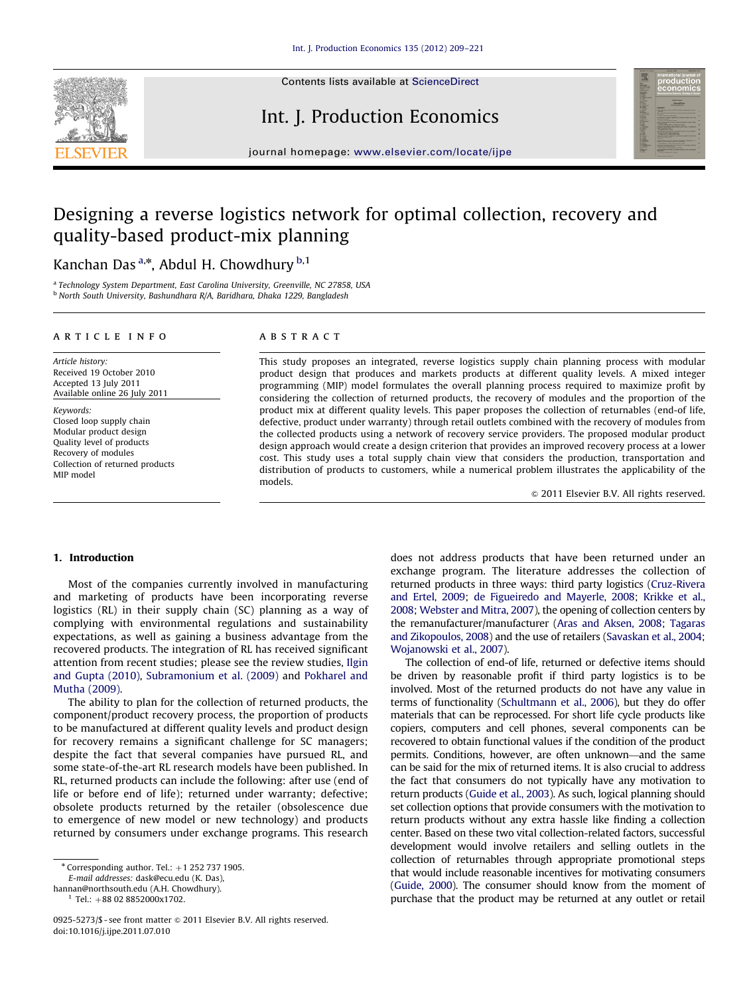

Contents lists available at ScienceDirect

## Int. J. Production Economics



journal homepage: <www.elsevier.com/locate/ijpe>

# Designing a reverse logistics network for optimal collection, recovery and quality-based product-mix planning

### Kanchan Das <sup>a,</sup>\*, Abdul H. Chowdhury <sup>b,1</sup>

<sup>a</sup> Technology System Department, East Carolina University, Greenville, NC 27858, USA <sup>b</sup> North South University, Bashundhara R/A, Baridhara, Dhaka 1229, Bangladesh

#### article info

Article history: Received 19 October 2010 Accepted 13 July 2011 Available online 26 July 2011

Keywords: Closed loop supply chain Modular product design Quality level of products Recovery of modules Collection of returned products MIP model

#### **ABSTRACT**

This study proposes an integrated, reverse logistics supply chain planning process with modular product design that produces and markets products at different quality levels. A mixed integer programming (MIP) model formulates the overall planning process required to maximize profit by considering the collection of returned products, the recovery of modules and the proportion of the product mix at different quality levels. This paper proposes the collection of returnables (end-of life, defective, product under warranty) through retail outlets combined with the recovery of modules from the collected products using a network of recovery service providers. The proposed modular product design approach would create a design criterion that provides an improved recovery process at a lower cost. This study uses a total supply chain view that considers the production, transportation and distribution of products to customers, while a numerical problem illustrates the applicability of the models.

 $© 2011 Elsevier B.V. All rights reserved.$ 

#### 1. Introduction

Most of the companies currently involved in manufacturing and marketing of products have been incorporating reverse logistics (RL) in their supply chain (SC) planning as a way of complying with environmental regulations and sustainability expectations, as well as gaining a business advantage from the recovered products. The integration of RL has received significant attention from recent studies; please see the review studies, [Ilgin](#page--1-0) [and Gupta \(2010\),](#page--1-0) [Subramonium et al. \(2009\)](#page--1-0) and [Pokharel and](#page--1-0) [Mutha \(2009\).](#page--1-0)

The ability to plan for the collection of returned products, the component/product recovery process, the proportion of products to be manufactured at different quality levels and product design for recovery remains a significant challenge for SC managers; despite the fact that several companies have pursued RL, and some state-of-the-art RL research models have been published. In RL, returned products can include the following: after use (end of life or before end of life); returned under warranty; defective; obsolete products returned by the retailer (obsolescence due to emergence of new model or new technology) and products returned by consumers under exchange programs. This research

E-mail addresses: [dask@ecu.edu \(K. Das\),](mailto:dask@ecu.edu)

 $1$  Tel.: +88 02 8852000x1702.

does not address products that have been returned under an exchange program. The literature addresses the collection of returned products in three ways: third party logistics [\(Cruz-Rivera](#page--1-0) [and Ertel, 2009;](#page--1-0) [de Figueiredo and Mayerle, 2008](#page--1-0); [Krikke et al.,](#page--1-0) [2008](#page--1-0); [Webster and Mitra, 2007\)](#page--1-0), the opening of collection centers by the remanufacturer/manufacturer [\(Aras and Aksen, 2008;](#page--1-0) [Tagaras](#page--1-0) [and Zikopoulos, 2008\)](#page--1-0) and the use of retailers [\(Savaskan et al., 2004;](#page--1-0) [Wojanowski et al., 2007](#page--1-0)).

The collection of end-of life, returned or defective items should be driven by reasonable profit if third party logistics is to be involved. Most of the returned products do not have any value in terms of functionality ([Schultmann et al., 2006](#page--1-0)), but they do offer materials that can be reprocessed. For short life cycle products like copiers, computers and cell phones, several components can be recovered to obtain functional values if the condition of the product permits. Conditions, however, are often unknown—and the same can be said for the mix of returned items. It is also crucial to address the fact that consumers do not typically have any motivation to return products [\(Guide et al., 2003](#page--1-0)). As such, logical planning should set collection options that provide consumers with the motivation to return products without any extra hassle like finding a collection center. Based on these two vital collection-related factors, successful development would involve retailers and selling outlets in the collection of returnables through appropriate promotional steps that would include reasonable incentives for motivating consumers [\(Guide, 2000\)](#page--1-0). The consumer should know from the moment of purchase that the product may be returned at any outlet or retail

 $*$  Corresponding author. Tel.:  $+1$  252 737 1905.

[hannan@northsouth.edu \(A.H. Chowdhury\)](mailto:hannan@northsouth.edu).

<sup>0925-5273/\$ -</sup> see front matter  $\odot$  2011 Elsevier B.V. All rights reserved. doi:[10.1016/j.ijpe.2011.07.010](dx.doi.org/10.1016/j.ijpe.2011.07.010)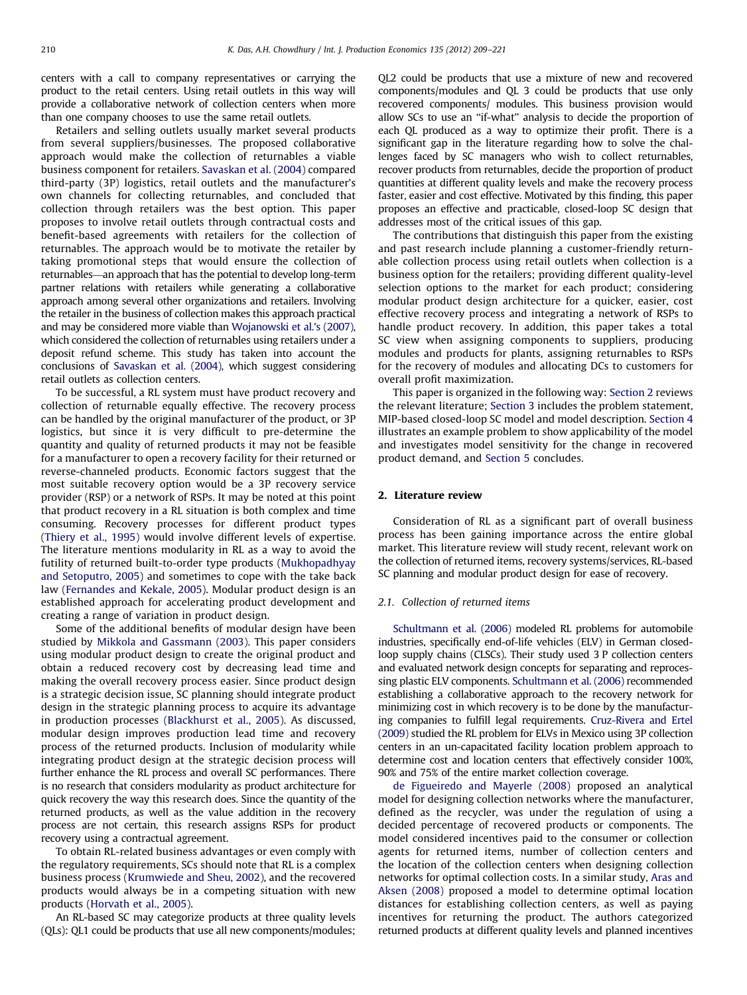centers with a call to company representatives or carrying the product to the retail centers. Using retail outlets in this way will provide a collaborative network of collection centers when more than one company chooses to use the same retail outlets.

Retailers and selling outlets usually market several products from several suppliers/businesses. The proposed collaborative approach would make the collection of returnables a viable business component for retailers. [Savaskan et al. \(2004\)](#page--1-0) compared third-party (3P) logistics, retail outlets and the manufacturer's own channels for collecting returnables, and concluded that collection through retailers was the best option. This paper proposes to involve retail outlets through contractual costs and benefit-based agreements with retailers for the collection of returnables. The approach would be to motivate the retailer by taking promotional steps that would ensure the collection of returnables—an approach that has the potential to develop long-term partner relations with retailers while generating a collaborative approach among several other organizations and retailers. Involving the retailer in the business of collection makes this approach practical and may be considered more viable than [Wojanowski et al.'s \(2007\),](#page--1-0) which considered the collection of returnables using retailers under a deposit refund scheme. This study has taken into account the conclusions of [Savaskan et al. \(2004\),](#page--1-0) which suggest considering retail outlets as collection centers.

To be successful, a RL system must have product recovery and collection of returnable equally effective. The recovery process can be handled by the original manufacturer of the product, or 3P logistics, but since it is very difficult to pre-determine the quantity and quality of returned products it may not be feasible for a manufacturer to open a recovery facility for their returned or reverse-channeled products. Economic factors suggest that the most suitable recovery option would be a 3P recovery service provider (RSP) or a network of RSPs. It may be noted at this point that product recovery in a RL situation is both complex and time consuming. Recovery processes for different product types ([Thiery et al., 1995\)](#page--1-0) would involve different levels of expertise. The literature mentions modularity in RL as a way to avoid the futility of returned built-to-order type products [\(Mukhopadhyay](#page--1-0) [and Setoputro, 2005](#page--1-0)) and sometimes to cope with the take back law ([Fernandes and Kekale, 2005](#page--1-0)). Modular product design is an established approach for accelerating product development and creating a range of variation in product design.

Some of the additional benefits of modular design have been studied by [Mikkola and Gassmann \(2003\).](#page--1-0) This paper considers using modular product design to create the original product and obtain a reduced recovery cost by decreasing lead time and making the overall recovery process easier. Since product design is a strategic decision issue, SC planning should integrate product design in the strategic planning process to acquire its advantage in production processes ([Blackhurst et al., 2005](#page--1-0)). As discussed, modular design improves production lead time and recovery process of the returned products. Inclusion of modularity while integrating product design at the strategic decision process will further enhance the RL process and overall SC performances. There is no research that considers modularity as product architecture for quick recovery the way this research does. Since the quantity of the returned products, as well as the value addition in the recovery process are not certain, this research assigns RSPs for product recovery using a contractual agreement.

To obtain RL-related business advantages or even comply with the regulatory requirements, SCs should note that RL is a complex business process ([Krumwiede and Sheu, 2002](#page--1-0)), and the recovered products would always be in a competing situation with new products [\(Horvath et al., 2005\)](#page--1-0).

An RL-based SC may categorize products at three quality levels (QLs): QL1 could be products that use all new components/modules; QL2 could be products that use a mixture of new and recovered components/modules and QL 3 could be products that use only recovered components/ modules. This business provision would allow SCs to use an ''if-what'' analysis to decide the proportion of each QL produced as a way to optimize their profit. There is a significant gap in the literature regarding how to solve the challenges faced by SC managers who wish to collect returnables, recover products from returnables, decide the proportion of product quantities at different quality levels and make the recovery process faster, easier and cost effective. Motivated by this finding, this paper proposes an effective and practicable, closed-loop SC design that addresses most of the critical issues of this gap.

The contributions that distinguish this paper from the existing and past research include planning a customer-friendly returnable collection process using retail outlets when collection is a business option for the retailers; providing different quality-level selection options to the market for each product; considering modular product design architecture for a quicker, easier, cost effective recovery process and integrating a network of RSPs to handle product recovery. In addition, this paper takes a total SC view when assigning components to suppliers, producing modules and products for plants, assigning returnables to RSPs for the recovery of modules and allocating DCs to customers for overall profit maximization.

This paper is organized in the following way: Section 2 reviews the relevant literature; [Section 3](#page--1-0) includes the problem statement, MIP-based closed-loop SC model and model description. [Section 4](#page--1-0) illustrates an example problem to show applicability of the model and investigates model sensitivity for the change in recovered product demand, and [Section 5](#page--1-0) concludes.

#### 2. Literature review

Consideration of RL as a significant part of overall business process has been gaining importance across the entire global market. This literature review will study recent, relevant work on the collection of returned items, recovery systems/services, RL-based SC planning and modular product design for ease of recovery.

#### 2.1. Collection of returned items

[Schultmann et al. \(2006\)](#page--1-0) modeled RL problems for automobile industries, specifically end-of-life vehicles (ELV) in German closedloop supply chains (CLSCs). Their study used 3 P collection centers and evaluated network design concepts for separating and reprocessing plastic ELV components. [Schultmann et al. \(2006\)](#page--1-0) recommended establishing a collaborative approach to the recovery network for minimizing cost in which recovery is to be done by the manufacturing companies to fulfill legal requirements. [Cruz-Rivera and Ertel](#page--1-0) [\(2009\)](#page--1-0) studied the RL problem for ELVs in Mexico using 3P collection centers in an un-capacitated facility location problem approach to determine cost and location centers that effectively consider 100%, 90% and 75% of the entire market collection coverage.

[de Figueiredo and Mayerle \(2008\)](#page--1-0) proposed an analytical model for designing collection networks where the manufacturer, defined as the recycler, was under the regulation of using a decided percentage of recovered products or components. The model considered incentives paid to the consumer or collection agents for returned items, number of collection centers and the location of the collection centers when designing collection networks for optimal collection costs. In a similar study, [Aras and](#page--1-0) [Aksen \(2008\)](#page--1-0) proposed a model to determine optimal location distances for establishing collection centers, as well as paying incentives for returning the product. The authors categorized returned products at different quality levels and planned incentives